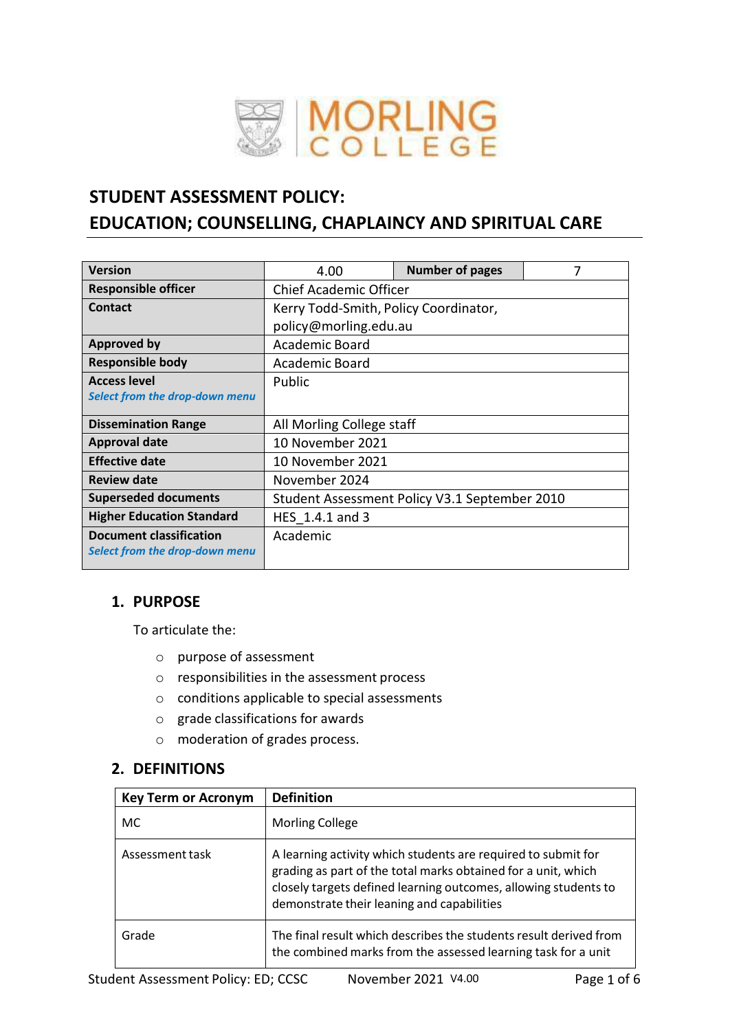

# **STUDENT ASSESSMENT POLICY: EDUCATION; COUNSELLING, CHAPLAINCY AND SPIRITUAL CARE**

| <b>Version</b>                                                   | 4.00                                  | <b>Number of pages</b>                        | 7 |
|------------------------------------------------------------------|---------------------------------------|-----------------------------------------------|---|
| <b>Responsible officer</b>                                       | <b>Chief Academic Officer</b>         |                                               |   |
| Contact                                                          | Kerry Todd-Smith, Policy Coordinator, |                                               |   |
|                                                                  | policy@morling.edu.au                 |                                               |   |
| <b>Approved by</b>                                               | Academic Board                        |                                               |   |
| <b>Responsible body</b>                                          | Academic Board                        |                                               |   |
| <b>Access level</b>                                              | Public                                |                                               |   |
| Select from the drop-down menu                                   |                                       |                                               |   |
| <b>Dissemination Range</b>                                       | All Morling College staff             |                                               |   |
| <b>Approval date</b>                                             | 10 November 2021                      |                                               |   |
| <b>Effective date</b>                                            | 10 November 2021                      |                                               |   |
| <b>Review date</b>                                               | November 2024                         |                                               |   |
| <b>Superseded documents</b>                                      |                                       | Student Assessment Policy V3.1 September 2010 |   |
| <b>Higher Education Standard</b>                                 | HES 1.4.1 and 3                       |                                               |   |
| <b>Document classification</b><br>Select from the drop-down menu | Academic                              |                                               |   |

# **1. PURPOSE**

To articulate the:

- o purpose of assessment
- o responsibilities in the assessment process
- o conditions applicable to special assessments
- o grade classifications for awards
- o moderation of grades process.

#### **2. DEFINITIONS**

| <b>Key Term or Acronym</b> | <b>Definition</b>                                                                                                                                                                                                                               |
|----------------------------|-------------------------------------------------------------------------------------------------------------------------------------------------------------------------------------------------------------------------------------------------|
| <b>MC</b>                  | <b>Morling College</b>                                                                                                                                                                                                                          |
| Assessment task            | A learning activity which students are required to submit for<br>grading as part of the total marks obtained for a unit, which<br>closely targets defined learning outcomes, allowing students to<br>demonstrate their leaning and capabilities |
| Grade                      | The final result which describes the students result derived from<br>the combined marks from the assessed learning task for a unit                                                                                                              |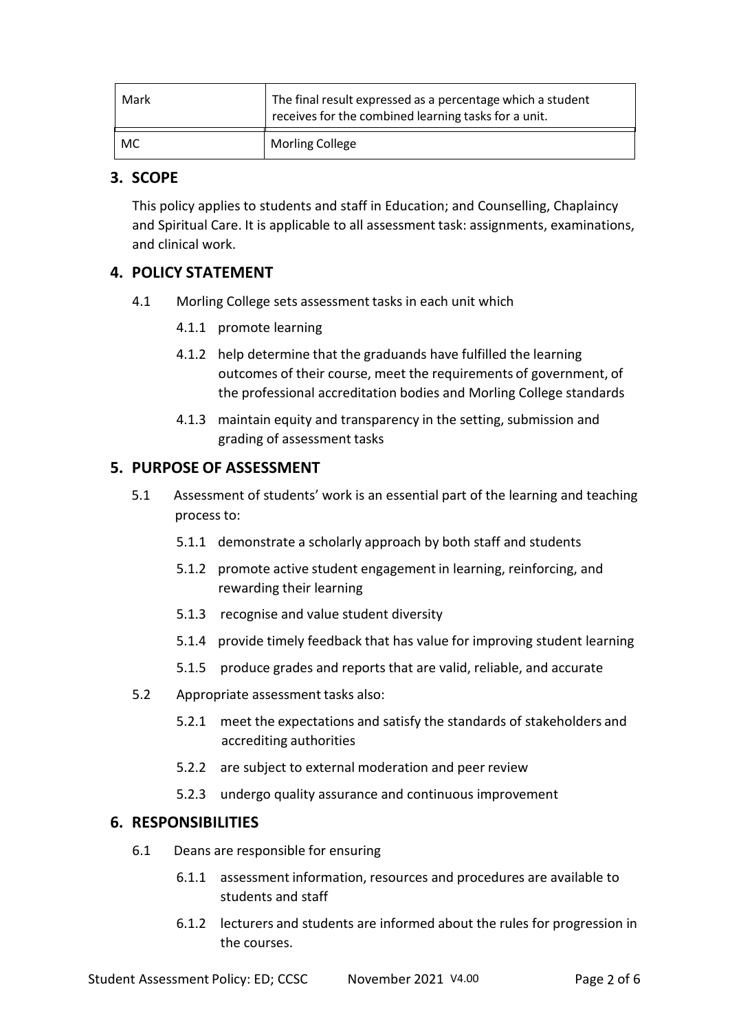| Mark | The final result expressed as a percentage which a student<br>receives for the combined learning tasks for a unit. |  |
|------|--------------------------------------------------------------------------------------------------------------------|--|
| MC   | <b>Morling College</b>                                                                                             |  |

### **3. SCOPE**

This policy applies to students and staff in Education; and Counselling, Chaplaincy and Spiritual Care. It is applicable to all assessment task: assignments, examinations, and clinical work.

### **4. POLICY STATEMENT**

- 4.1 Morling College sets assessment tasks in each unit which
	- 4.1.1 promote learning
	- 4.1.2 help determine that the graduands have fulfilled the learning outcomes of their course, meet the requirements of government, of the professional accreditation bodies and Morling College standards
	- 4.1.3 maintain equity and transparency in the setting, submission and grading of assessment tasks

### **5. PURPOSE OF ASSESSMENT**

- 5.1 Assessment of students' work is an essential part of the learning and teaching process to:
	- 5.1.1 demonstrate a scholarly approach by both staff and students
	- 5.1.2 promote active student engagement in learning, reinforcing, and rewarding their learning
	- 5.1.3 recognise and value student diversity
	- 5.1.4 provide timely feedback that has value for improving student learning
	- 5.1.5 produce grades and reports that are valid, reliable, and accurate
- 5.2 Appropriate assessment tasks also:
	- 5.2.1 meet the expectations and satisfy the standards of stakeholders and accrediting authorities
	- 5.2.2 are subject to external moderation and peer review
	- 5.2.3 undergo quality assurance and continuous improvement

#### **6. RESPONSIBILITIES**

- 6.1 Deans are responsible for ensuring
	- 6.1.1 assessment information, resources and procedures are available to students and staff
	- 6.1.2 lecturers and students are informed about the rules for progression in the courses.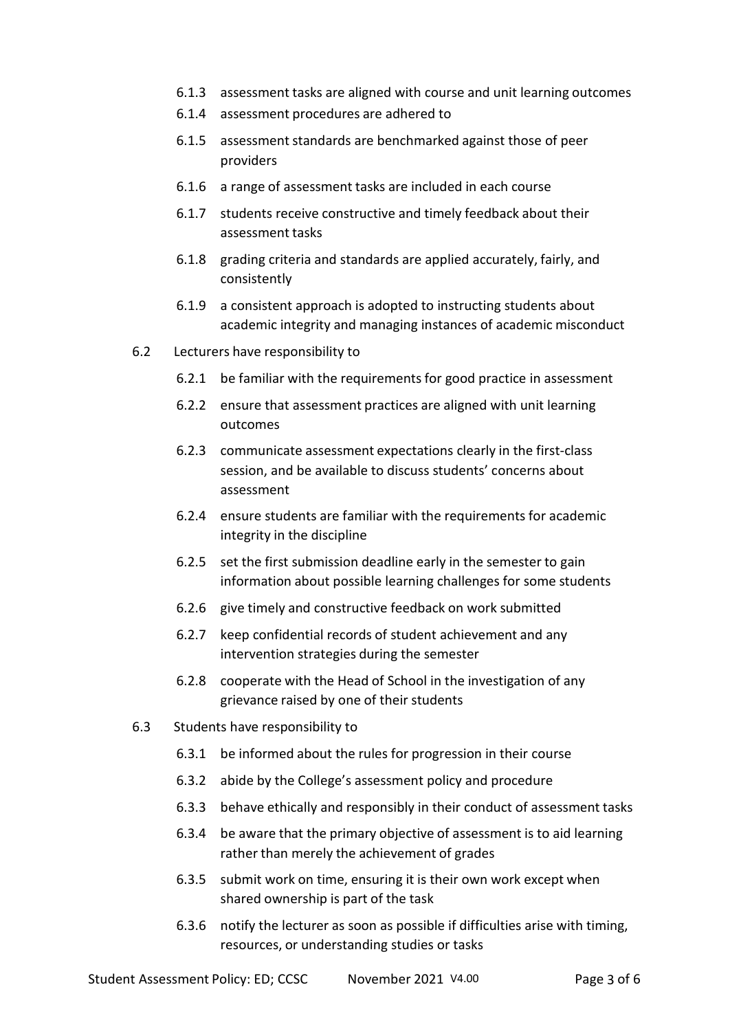- 6.1.3 assessment tasks are aligned with course and unit learning outcomes
- 6.1.4 assessment procedures are adhered to
- 6.1.5 assessment standards are benchmarked against those of peer providers
- 6.1.6 a range of assessment tasks are included in each course
- 6.1.7 students receive constructive and timely feedback about their assessment tasks
- 6.1.8 grading criteria and standards are applied accurately, fairly, and consistently
- 6.1.9 a consistent approach is adopted to instructing students about academic integrity and managing instances of academic misconduct
- 6.2 Lecturers have responsibility to
	- 6.2.1 be familiar with the requirementsfor good practice in assessment
	- 6.2.2 ensure that assessment practices are aligned with unit learning outcomes
	- 6.2.3 communicate assessment expectations clearly in the first-class session, and be available to discuss students' concerns about assessment
	- 6.2.4 ensure students are familiar with the requirements for academic integrity in the discipline
	- 6.2.5 set the first submission deadline early in the semester to gain information about possible learning challenges for some students
	- 6.2.6 give timely and constructive feedback on work submitted
	- 6.2.7 keep confidential records of student achievement and any intervention strategies during the semester
	- 6.2.8 cooperate with the Head of School in the investigation of any grievance raised by one of their students
- 6.3 Students have responsibility to
	- 6.3.1 be informed about the rules for progression in their course
	- 6.3.2 abide by the College's assessment policy and procedure
	- 6.3.3 behave ethically and responsibly in their conduct of assessment tasks
	- 6.3.4 be aware that the primary objective of assessment is to aid learning rather than merely the achievement of grades
	- 6.3.5 submit work on time, ensuring it is their own work except when shared ownership is part of the task
	- 6.3.6 notify the lecturer as soon as possible if difficulties arise with timing, resources, or understanding studies or tasks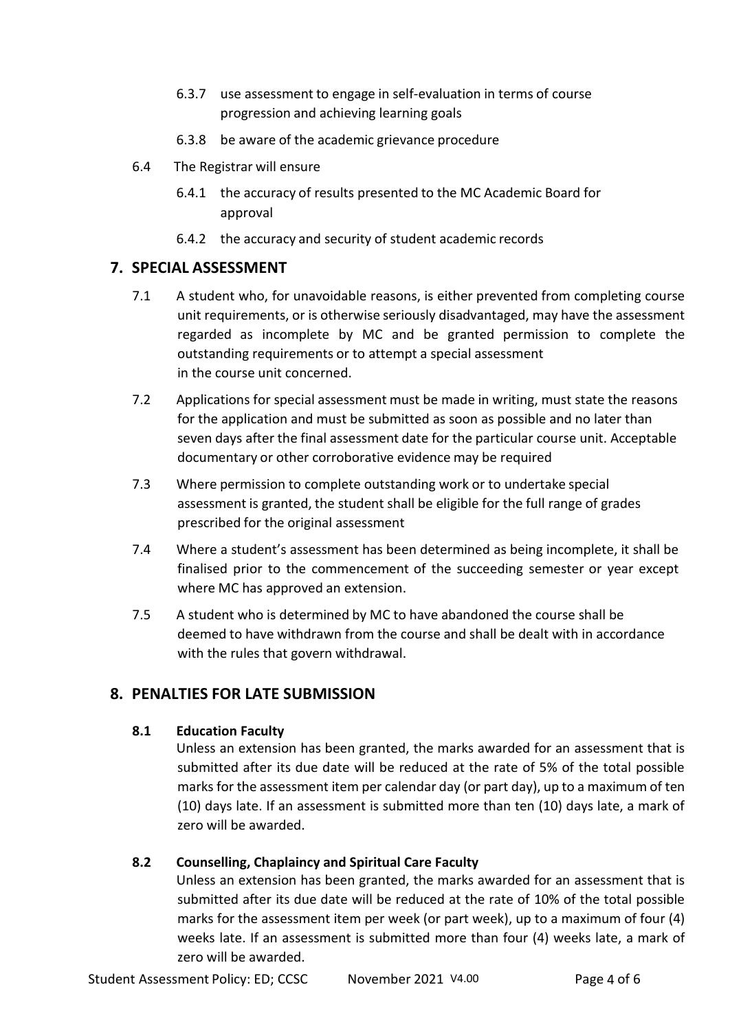- 6.3.7 use assessment to engage in self-evaluation in terms of course progression and achieving learning goals
- 6.3.8 be aware of the academic grievance procedure
- 6.4 The Registrar will ensure
	- 6.4.1 the accuracy of results presented to the MC Academic Board for approval
	- 6.4.2 the accuracy and security of student academic records

### **7. SPECIAL ASSESSMENT**

- 7.1 A student who, for unavoidable reasons, is either prevented from completing course unit requirements, or is otherwise seriously disadvantaged, may have the assessment regarded as incomplete by MC and be granted permission to complete the outstanding requirements or to attempt a special assessment in the course unit concerned.
- 7.2 Applications for special assessment must be made in writing, must state the reasons for the application and must be submitted as soon as possible and no later than seven days after the final assessment date for the particular course unit. Acceptable documentary or other corroborative evidence may be required
- 7.3 Where permission to complete outstanding work or to undertake special assessment is granted, the student shall be eligible for the full range of grades prescribed for the original assessment
- 7.4 Where a student's assessment has been determined as being incomplete, it shall be finalised prior to the commencement of the succeeding semester or year except where MC has approved an extension.
- 7.5 A student who is determined by MC to have abandoned the course shall be deemed to have withdrawn from the course and shall be dealt with in accordance with the rules that govern withdrawal.

# **8. PENALTIES FOR LATE SUBMISSION**

### **8.1 Education Faculty**

Unless an extension has been granted, the marks awarded for an assessment that is submitted after its due date will be reduced at the rate of 5% of the total possible marks for the assessment item per calendar day (or part day), up to a maximum of ten (10) days late. If an assessment is submitted more than ten (10) days late, a mark of zero will be awarded.

### **8.2 Counselling, Chaplaincy and Spiritual Care Faculty**

Unless an extension has been granted, the marks awarded for an assessment that is submitted after its due date will be reduced at the rate of 10% of the total possible marks for the assessment item per week (or part week), up to a maximum of four (4) weeks late. If an assessment is submitted more than four (4) weeks late, a mark of zero will be awarded.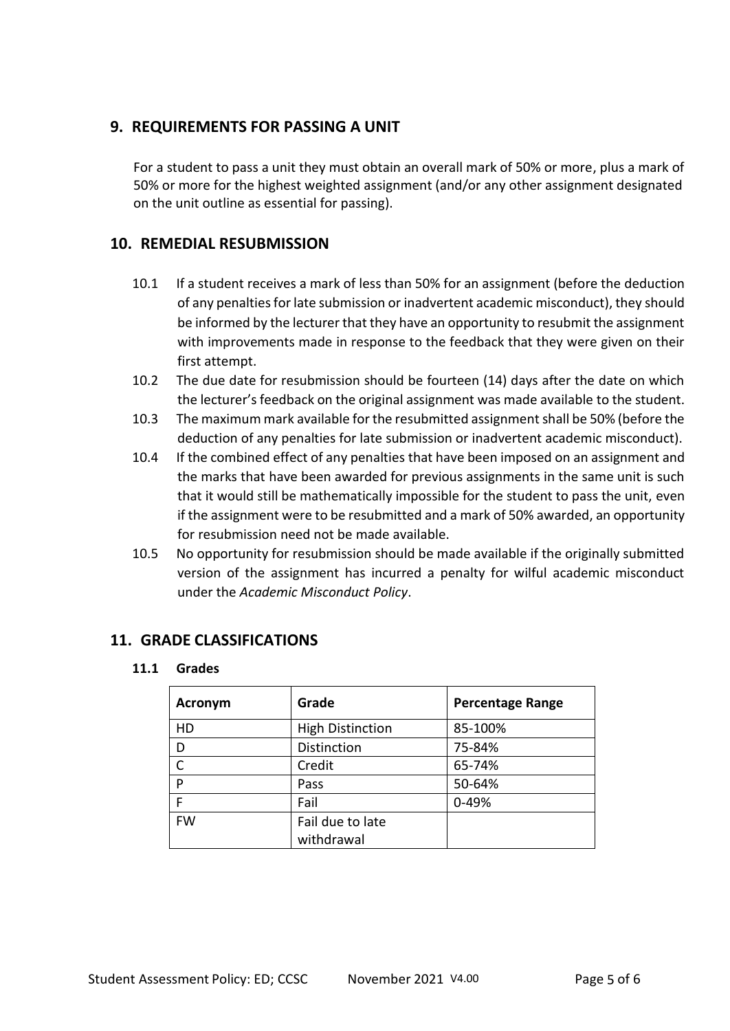### **9. REQUIREMENTS FOR PASSING A UNIT**

For a student to pass a unit they must obtain an overall mark of 50% or more, plus a mark of 50% or more for the highest weighted assignment (and/or any other assignment designated on the unit outline as essential for passing).

### **10. REMEDIAL RESUBMISSION**

- 10.1 If a student receives a mark of less than 50% for an assignment (before the deduction of any penalties for late submission or inadvertent academic misconduct), they should be informed by the lecturer that they have an opportunity to resubmit the assignment with improvements made in response to the feedback that they were given on their first attempt.
- 10.2 The due date for resubmission should be fourteen (14) days after the date on which the lecturer's feedback on the original assignment was made available to the student.
- 10.3 The maximum mark available for the resubmitted assignment shall be 50% (before the deduction of any penalties for late submission or inadvertent academic misconduct).
- 10.4 If the combined effect of any penalties that have been imposed on an assignment and the marks that have been awarded for previous assignments in the same unit is such that it would still be mathematically impossible for the student to pass the unit, even if the assignment were to be resubmitted and a mark of 50% awarded, an opportunity for resubmission need not be made available.
- 10.5 No opportunity for resubmission should be made available if the originally submitted version of the assignment has incurred a penalty for wilful academic misconduct under the *Academic Misconduct Policy*.

### **11. GRADE CLASSIFICATIONS**

#### **11.1 Grades**

| <b>Acronym</b> | Grade                          | <b>Percentage Range</b> |
|----------------|--------------------------------|-------------------------|
| HD             | <b>High Distinction</b>        | 85-100%                 |
| D              | Distinction                    | 75-84%                  |
| C              | Credit                         | 65-74%                  |
| P              | Pass                           | 50-64%                  |
| F              | Fail                           | 0-49%                   |
| <b>FW</b>      | Fail due to late<br>withdrawal |                         |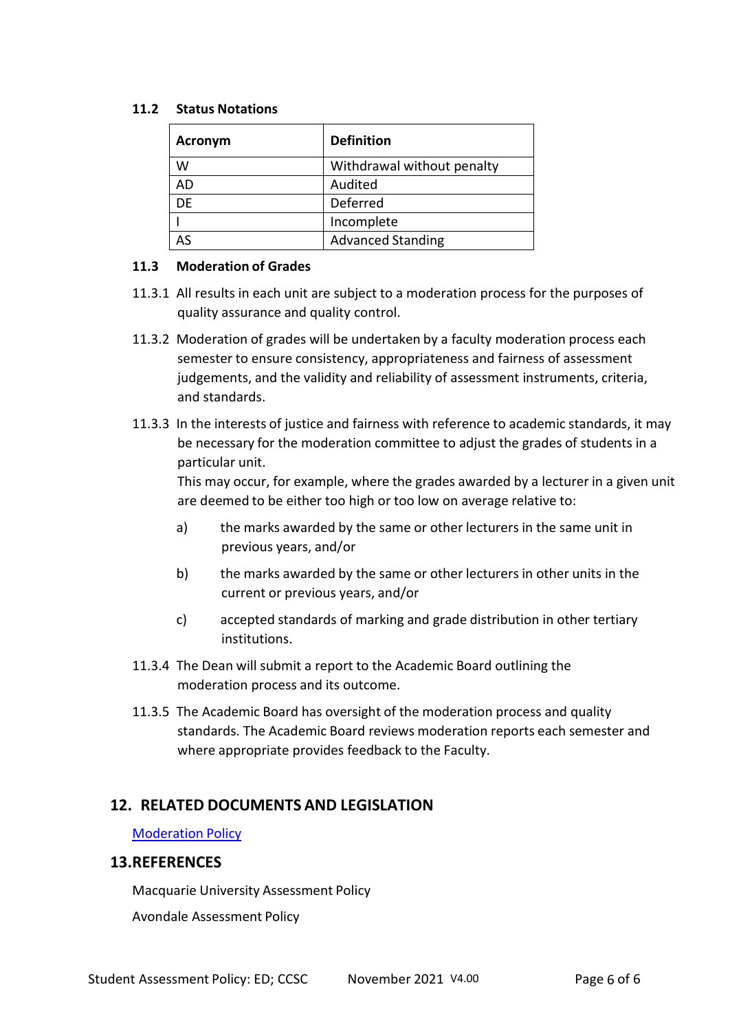#### **11.2 Status Notations**

| <b>Acronym</b> | <b>Definition</b>          |  |
|----------------|----------------------------|--|
| w              | Withdrawal without penalty |  |
| AD             | Audited                    |  |
| DF             | Deferred                   |  |
|                | Incomplete                 |  |
|                | <b>Advanced Standing</b>   |  |

#### **11.3 Moderation of Grades**

- 11.3.1 All results in each unit are subject to a moderation process for the purposes of quality assurance and quality control.
- 11.3.2 Moderation of grades will be undertaken by a faculty moderation process each semester to ensure consistency, appropriateness and fairness of assessment judgements, and the validity and reliability of assessment instruments, criteria, and standards.
- 11.3.3 In the interests of justice and fairness with reference to academic standards, it may be necessary for the moderation committee to adjust the grades of students in a particular unit.

This may occur, for example, where the grades awarded by a lecturer in a given unit are deemed to be either too high or too low on average relative to:

- a) the marks awarded by the same or other lecturers in the same unit in previous years, and/or
- b) the marks awarded by the same or other lecturers in other units in the current or previous years, and/or
- c) accepted standards of marking and grade distribution in other tertiary institutions.
- 11.3.4 The Dean will submit a report to the Academic Board outlining the moderation process and its outcome.
- 11.3.5 The Academic Board has oversight of the moderation process and quality standards. The Academic Board reviews moderation reports each semester and where appropriate provides feedback to the Faculty.

#### **12. RELATED DOCUMENTS AND LEGISLATION**

[Moderation](file:///G:/Shared%20drives/Shared%20data/Policies/Student%20Policies/Moderation%20Policy%20Counselling%20and%20Education.pdf) Policy

#### **13.REFERENCES**

Macquarie University Assessment Policy

Avondale Assessment Policy